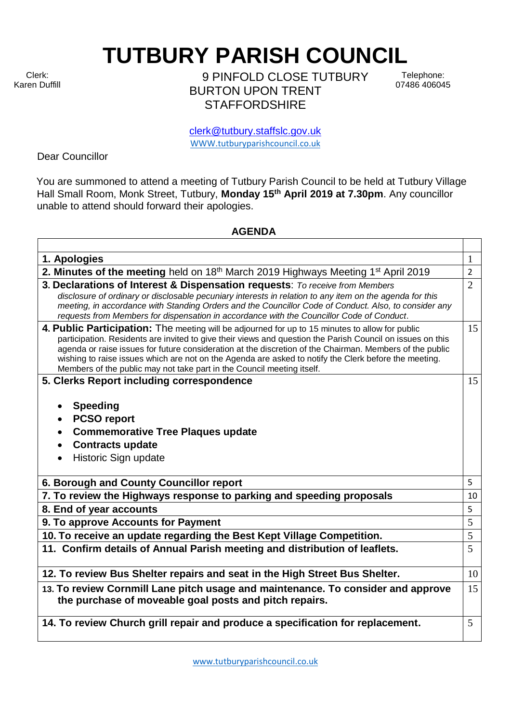Clerk: Karen Duffill **TUTBURY PARISH COUNCIL** 

9 PINFOLD CLOSE TUTBURY BURTON UPON TRENT **STAFFORDSHIRE** 

Telephone: 07486 406045

clerk@tutbury.staffslc.gov.uk [WWW.tutburyparishcouncil.co.uk](http://www.tutburyparishcouncil.co.uk/)

Dear Councillor

You are summoned to attend a meeting of Tutbury Parish Council to be held at Tutbury Village Hall Small Room, Monk Street, Tutbury, **Monday 15 th April 2019 at 7.30pm**. Any councillor unable to attend should forward their apologies.

## **AGENDA**

| 1. Apologies                                                                                                                                                                                                                                                                                                                                                                                                                                                                                                 | 1              |
|--------------------------------------------------------------------------------------------------------------------------------------------------------------------------------------------------------------------------------------------------------------------------------------------------------------------------------------------------------------------------------------------------------------------------------------------------------------------------------------------------------------|----------------|
| 2. Minutes of the meeting held on 18 <sup>th</sup> March 2019 Highways Meeting 1 <sup>st</sup> April 2019                                                                                                                                                                                                                                                                                                                                                                                                    | $\overline{2}$ |
| 3. Declarations of Interest & Dispensation requests: To receive from Members<br>disclosure of ordinary or disclosable pecuniary interests in relation to any item on the agenda for this<br>meeting, in accordance with Standing Orders and the Councillor Code of Conduct. Also, to consider any<br>requests from Members for dispensation in accordance with the Councillor Code of Conduct.                                                                                                               | $\overline{2}$ |
| 4. Public Participation: The meeting will be adjourned for up to 15 minutes to allow for public<br>participation. Residents are invited to give their views and question the Parish Council on issues on this<br>agenda or raise issues for future consideration at the discretion of the Chairman. Members of the public<br>wishing to raise issues which are not on the Agenda are asked to notify the Clerk before the meeting.<br>Members of the public may not take part in the Council meeting itself. | 15             |
| 5. Clerks Report including correspondence<br><b>Speeding</b><br><b>PCSO report</b><br><b>Commemorative Tree Plaques update</b><br><b>Contracts update</b><br>Historic Sign update                                                                                                                                                                                                                                                                                                                            | 15             |
| 6. Borough and County Councillor report                                                                                                                                                                                                                                                                                                                                                                                                                                                                      | 5              |
| 7. To review the Highways response to parking and speeding proposals                                                                                                                                                                                                                                                                                                                                                                                                                                         | 10             |
| 8. End of year accounts                                                                                                                                                                                                                                                                                                                                                                                                                                                                                      | 5              |
| 9. To approve Accounts for Payment                                                                                                                                                                                                                                                                                                                                                                                                                                                                           | 5              |
| 10. To receive an update regarding the Best Kept Village Competition.                                                                                                                                                                                                                                                                                                                                                                                                                                        | 5              |
| 11. Confirm details of Annual Parish meeting and distribution of leaflets.                                                                                                                                                                                                                                                                                                                                                                                                                                   | 5              |
| 12. To review Bus Shelter repairs and seat in the High Street Bus Shelter.                                                                                                                                                                                                                                                                                                                                                                                                                                   | 10             |
| 13. To review Cornmill Lane pitch usage and maintenance. To consider and approve<br>the purchase of moveable goal posts and pitch repairs.                                                                                                                                                                                                                                                                                                                                                                   | 15             |
| 14. To review Church grill repair and produce a specification for replacement.                                                                                                                                                                                                                                                                                                                                                                                                                               | 5              |